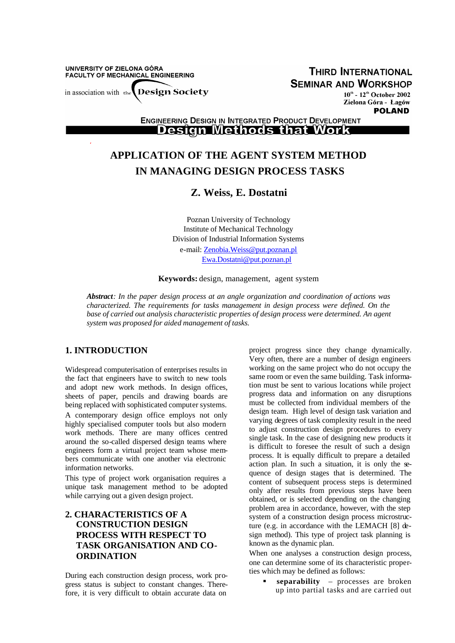UNIVERSITY OF ZIELONA GÓRA FACULTY OF MECHANICAL ENGINEERING

**Design Society** in association with the

**THIRD INTERNATIONAL SEMINAR AND WORKSHOP** 

 $10^{\text{th}}$  -  $12^{\text{th}}$  October 2002 Zielona Góra - Lagów **POLAND** 

**ENGINEERING DESIGN IN INTEGRATED PRODUCT DEVELOPMENT Design Methods that Work** 

# **APPLICATION OF THE AGENT SYSTEM METHOD IN MANAGING DESIGN PROCESS TASKS**

# **Z. Weiss, E. Dostatni**

Poznan University of Technology Institute of Mechanical Technology Division of Industrial Information Systems e-mail: Zenobia.Weiss@put.poznan.pl Ewa.Dostatni@put.poznan.pl

#### **Keywords:** design, management, agent system

*Abstract: In the paper design process at an angle organization and coordination of actions was characterized. The requirements for tasks management in design process were defined. On the base of carried out analysis characteristic properties of design process were determined. An agent system was proposed for aided management of tasks.*

#### **1. INTRODUCTION**

Widespread computerisation of enterprises results in the fact that engineers have to switch to new tools and adopt new work methods. In design offices, sheets of paper, pencils and drawing boards are being replaced with sophisticated computer systems. A contemporary design office employs not only highly specialised computer tools but also modern work methods. There are many offices centred around the so-called dispersed design teams where engineers form a virtual project team whose members communicate with one another via electronic information networks.

This type of project work organisation requires a unique task management method to be adopted while carrying out a given design project.

# **2. CHARACTERISTICS OF A CONSTRUCTION DESIGN PROCESS WITH RESPECT TO TASK ORGANISATION AND CO-ORDINATION**

During each construction design process, work progress status is subject to constant changes. Therefore, it is very difficult to obtain accurate data on

project progress since they change dynamically. Very often, there are a number of design engineers working on the same project who do not occupy the same room or even the same building. Task information must be sent to various locations while project progress data and information on any disruptions must be collected from individual members of the design team. High level of design task variation and varying degrees of task complexity result in the need to adjust construction design procedures to every single task. In the case of designing new products it is difficult to foresee the result of such a design process. It is equally difficult to prepare a detailed action plan. In such a situation, it is only the sequence of design stages that is determined. The content of subsequent process steps is determined only after results from previous steps have been obtained, or is selected depending on the changing problem area in accordance, however, with the step system of a construction design process microstructure (e.g. in accordance with the LEMACH [8] design method). This type of project task planning is known as the dynamic plan.

When one analyses a construction design process, one can determine some of its characteristic properties which may be defined as follows:

> ß **separability** – processes are broken up into partial tasks and are carried out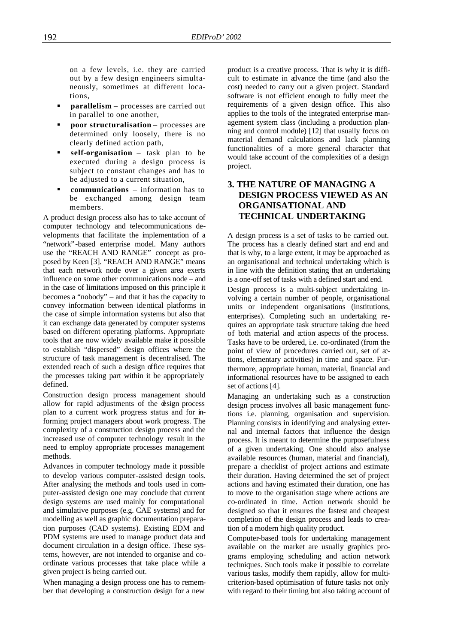on a few levels, i.e. they are carried out by a few design engineers simultaneously, sometimes at different locations,

- **parallelism** processes are carried out in parallel to one another,
- ß **poor structuralisation**  processes are determined only loosely, there is no clearly defined action path,
- ß **self-organisation** task plan to be executed during a design process is subject to constant changes and has to be adjusted to a current situation,
- ß **communications** information has to be exchanged among design team members.

A product design process also has to take account of computer technology and telecommunications developments that facilitate the implementation of a "network"-based enterprise model. Many authors use the "REACH AND RANGE" concept as proposed by Keen [3]. "REACH AND RANGE" means that each network node over a given area exerts influence on some other communications node – and in the case of limitations imposed on this principle it becomes a "nobody" – and that it has the capacity to convey information between identical platforms in the case of simple information systems but also that it can exchange data generated by computer systems based on different operating platforms. Appropriate tools that are now widely available make it possible to establish "dispersed" design offices where the structure of task management is decentralised. The extended reach of such a design office requires that the processes taking part within it be appropriately defined.

Construction design process management should allow for rapid adjustments of the design process plan to a current work progress status and for informing project managers about work progress. The complexity of a construction design process and the increased use of computer technology result in the need to employ appropriate processes management methods.

Advances in computer technology made it possible to develop various computer-assisted design tools. After analysing the methods and tools used in computer-assisted design one may conclude that current design systems are used mainly for computational and simulative purposes (e.g. CAE systems) and for modelling as well as graphic documentation preparation purposes (CAD systems). Existing EDM and PDM systems are used to manage product data and document circulation in a design office. These systems, however, are not intended to organise and coordinate various processes that take place while a given project is being carried out.

When managing a design process one has to remember that developing a construction design for a new product is a creative process. That is why it is difficult to estimate in advance the time (and also the cost) needed to carry out a given project. Standard software is not efficient enough to fully meet the requirements of a given design office. This also applies to the tools of the integrated enterprise management system class (including a production planning and control module) [12] that usually focus on material demand calculations and lack planning functionalities of a more general character that would take account of the complexities of a design project.

### **3. THE NATURE OF MANAGING A DESIGN PROCESS VIEWED AS AN ORGANISATIONAL AND TECHNICAL UNDERTAKING**

A design process is a set of tasks to be carried out. The process has a clearly defined start and end and that is why, to a large extent, it may be approached as an organisational and technical undertaking which is in line with the definition stating that an undertaking is a one-off set of tasks with a defined start and end.

Design process is a multi-subject undertaking involving a certain number of people, organisational units or independent organisations (institutions, enterprises). Completing such an undertaking requires an appropriate task structure taking due heed of both material and action aspects of the process. Tasks have to be ordered, i.e. co-ordinated (from the point of view of procedures carried out, set of  $x$ tions, elementary activities) in time and space. Furthermore, appropriate human, material, financial and informational resources have to be assigned to each set of actions [4].

Managing an undertaking such as a construction design process involves all basic management functions i.e. planning, organisation and supervision. Planning consists in identifying and analysing external and internal factors that influence the design process. It is meant to determine the purposefulness of a given undertaking. One should also analyse available resources (human, material and financial), prepare a checklist of project actions and estimate their duration. Having determined the set of project actions and having estimated their duration, one has to move to the organisation stage where actions are co-ordinated in time. Action network should be designed so that it ensures the fastest and cheapest completion of the design process and leads to creation of a modern high quality product.

Computer-based tools for undertaking management available on the market are usually graphics programs employing scheduling and action network techniques. Such tools make it possible to correlate various tasks, modify them rapidly, allow for multicriterion-based optimisation of future tasks not only with regard to their timing but also taking account of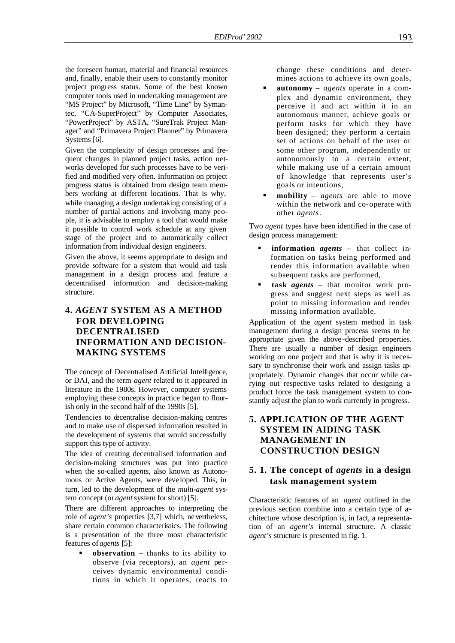the foreseen human, material and financial resources and, finally, enable their users to constantly monitor project progress status. Some of the best known computer tools used in undertaking management are "MS Project" by Microsoft, "Time Line" by Symantec, "CA-SuperProject" by Computer Associates, "PowerProject" by ASTA, "SureTrak Project Manager" and "Primavera Project Planner" by Primavera Systems [6].

Given the complexity of design processes and frequent changes in planned project tasks, action networks developed for such processes have to be verified and modified very often. Information on project progress status is obtained from design team members working at different locations. That is why, while managing a design undertaking consisting of a number of partial actions and involving many people, it is advisable to employ a tool that would make it possible to control work schedule at any given stage of the project and to automatically collect information from individual design engineers.

Given the above, it seems appropriate to design and provide software for a system that would aid task management in a design process and feature a decentralised information and decision-making structure.

# **4.** *AGENT* **SYSTEM AS A METHOD FOR DEVELOPING DECENTRALISED INFORMATION AND DECISION-MAKING SYSTEMS**

The concept of Decentralised Artificial Intelligence, or DAI, and the term *agent* related to it appeared in literature in the 1980s. However, computer systems employing these concepts in practice began to flourish only in the second half of the 1990s [5].

Tendencies to decentralise decision-making centres and to make use of dispersed information resulted in the development of systems that would successfully support this type of activity.

The idea of creating decentralised information and decision-making structures was put into practice when the so-called *agents*, also known as Autonomous or Active Agents, were developed. This, in turn, led to the development of the *multi-agent* system concept (or *agent* system for short) [5].

There are different approaches to interpreting the role of *agent's* properties [3,7] which, nevertheless, share certain common characteristics. The following is a presentation of the three most characteristic features of *agents* [5]:

ß **observation** – thanks to its ability to observe (via receptors), an *agent* perceives dynamic environmental conditions in which it operates, reacts to change these conditions and determines actions to achieve its own goals,

- ß **autonomy** *agents* operate in a complex and dynamic environment, they perceive it and act within it in an autonomous manner, achieve goals or perform tasks for which they have been designed; they perform a certain set of actions on behalf of the user or some other program, independently or autonomously to a certain extent, while making use of a certain amount of knowledge that represents user's goals or intentions,
- ß **mobility** *agents* are able to move within the network and co-operate with other *agents*.

Two *agent* types have been identified in the case of design process management:

- ß **information** *agents* that collect information on tasks being performed and render this information available when subsequent tasks are performed,
- ß **task** *agents* that monitor work progress and suggest next steps as well as point to missing information and render missing information available.

Application of the *agent* system method in task management during a design process seems to be appropriate given the above-described properties. There are usually a number of design engineers working on one project and that is why it is necessary to synchronise their work and assign tasks appropriately. Dynamic changes that occur while carrying out respective tasks related to designing a product force the task management system to constantly adjust the plan to work currently in progress.

# **5. APPLICATION OF THE AGENT SYSTEM IN AIDING TASK MANAGEMENT IN CONSTRUCTION DESIGN**

### **5. 1. The concept of** *agents* **in a design task management system**

Characteristic features of an *agent* outlined in the previous section combine into a certain type of architecture whose description is, in fact, a representation of an *agent's* internal structure. A classic *agent's* structure is presented in fig. 1.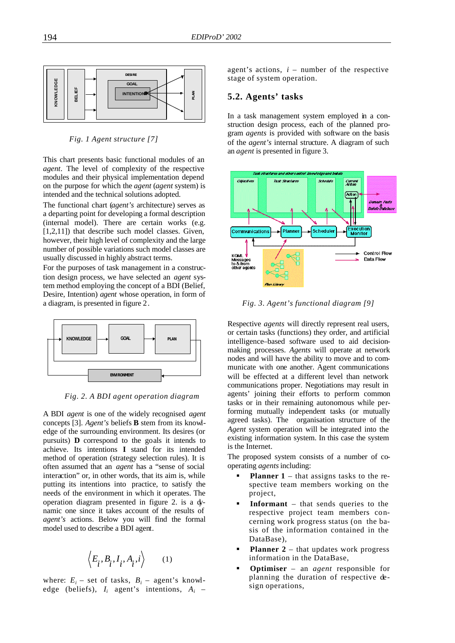

*Fig. 1 Agent structure [7]*

This chart presents basic functional modules of an *agent*. The level of complexity of the respective modules and their physical implementation depend on the purpose for which the *agent* (*agent* system) is intended and the technical solutions adopted.

The functional chart (*agent's* architecture) serves as a departing point for developing a formal description (internal model). There are certain works (e.g. [1,2,11]) that describe such model classes. Given, however, their high level of complexity and the large number of possible variations such model classes are usually discussed in highly abstract terms.

For the purposes of task management in a construction design process, we have selected an *agent* system method employing the concept of a BDI (Belief, Desire, Intention) *agent* whose operation, in form of a diagram, is presented in figure 2.



*Fig. 2. A BDI agent operation diagram*

A BDI *agent* is one of the widely recognised *agent*  concepts [3]. *Agent's* beliefs **B** stem from its knowledge of the surrounding environment. Its desires (or pursuits) **D** correspond to the goals it intends to achieve. Its intentions **I** stand for its intended method of operation (strategy selection rules). It is often assumed that an *agent* has a "sense of social interaction" or, in other words, that its aim is, while putting its intentions into practice, to satisfy the needs of the environment in which it operates. The operation diagram presented in figure 2. is a dynamic one since it takes account of the results of *agent's* actions. Below you will find the formal model used to describe a BDI agent.

$$
\left\langle E_i, B_i, I_i, A_i, i \right\rangle \tag{1}
$$

where:  $E_i$  – set of tasks,  $B_i$  – agent's knowledge (beliefs), *I<sup>i</sup>* agent's intentions, *A<sup>i</sup>* –

agent's actions,  $i$  – number of the respective stage of system operation.

#### **5.2. Agents' tasks**

In a task management system employed in a construction design process, each of the planned program *agents* is provided with software on the basis of the *agent's* internal structure. A diagram of such an *agent* is presented in figure 3.



*Fig. 3. Agent's functional diagram [9]*

Respective *agents* will directly represent real users, or certain tasks (functions) they order, and artificial intelligence–based software used to aid decisionmaking processes. *Agents* will operate at network nodes and will have the ability to move and to communicate with one another. Agent communications will be effected at a different level than network communications proper. Negotiations may result in agents' joining their efforts to perform common tasks or in their remaining autonomous while performing mutually independent tasks (or mutually agreed tasks). The organisation structure of the *Agent* system operation will be integrated into the existing information system. In this case the system is the Internet.

The proposed system consists of a number of cooperating *agents* including:

- **Planner 1** that assigns tasks to the respective team members working on the project,
- ß **Informant** that sends queries to the respective project team members concerning work progress status (on the basis of the information contained in the DataBase),
- **Planner 2** that updates work progress information in the DataBase,
- ß **Optimiser** an *agent* responsible for planning the duration of respective design operations,